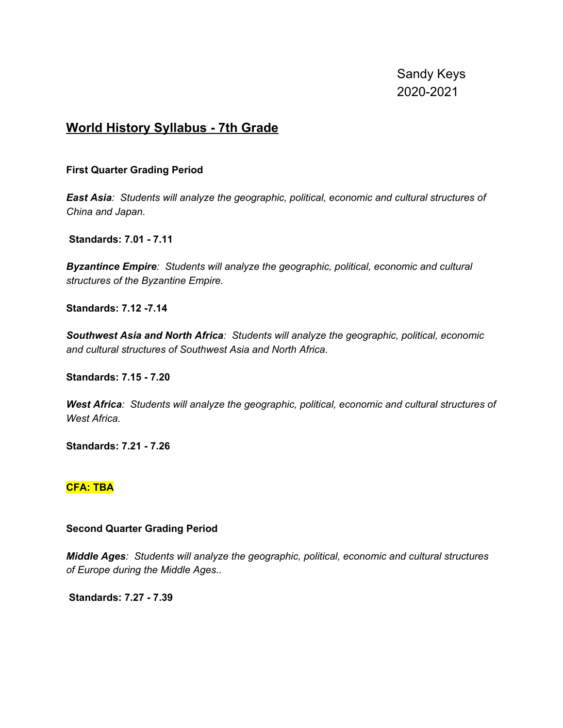Sandy Keys 2020-2021

# **World History Syllabus - 7th Grade**

### **First Quarter Grading Period**

*East Asia: Students will analyze the geographic, political, economic and cultural structures of China and Japan.*

**Standards: 7.01 - 7.11**

*Byzantince Empire: Students will analyze the geographic, political, economic and cultural structures of the Byzantine Empire.*

**Standards: 7.12 -7.14**

*Southwest Asia and North Africa: Students will analyze the geographic, political, economic and cultural structures of Southwest Asia and North Africa.*

**Standards: 7.15 - 7.20**

*West Africa: Students will analyze the geographic, political, economic and cultural structures of West Africa.*

**Standards: 7.21 - 7.26**

## **CFA: TBA**

#### **Second Quarter Grading Period**

*Middle Ages: Students will analyze the geographic, political, economic and cultural structures of Europe during the Middle Ages..*

**Standards: 7.27 - 7.39**